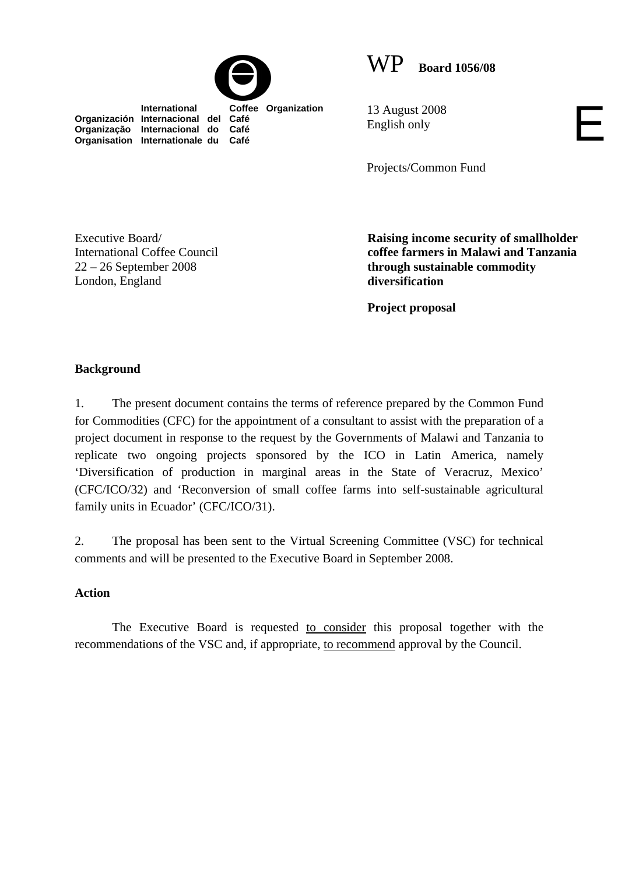



 **International Coffee Organization Organización Internacional del Café Organização Internacional do Café Organisation Internationale du Café**

13 August 2008 English only

Projects/Common Fund

Executive Board/ International Coffee Council 22 – 26 September 2008 London, England

**Raising income security of smallholder coffee farmers in Malawi and Tanzania through sustainable commodity diversification** 

E

**Project proposal** 

# **Background**

1. The present document contains the terms of reference prepared by the Common Fund for Commodities (CFC) for the appointment of a consultant to assist with the preparation of a project document in response to the request by the Governments of Malawi and Tanzania to replicate two ongoing projects sponsored by the ICO in Latin America, namely 'Diversification of production in marginal areas in the State of Veracruz, Mexico' (CFC/ICO/32) and 'Reconversion of small coffee farms into self-sustainable agricultural family units in Ecuador' (CFC/ICO/31).

2. The proposal has been sent to the Virtual Screening Committee (VSC) for technical comments and will be presented to the Executive Board in September 2008.

## **Action**

The Executive Board is requested to consider this proposal together with the recommendations of the VSC and, if appropriate, to recommend approval by the Council.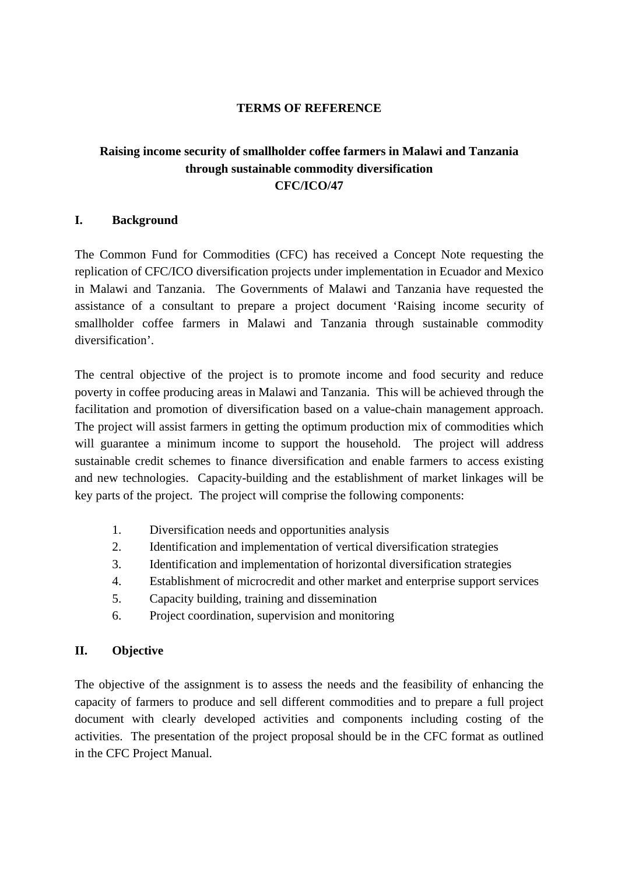### **TERMS OF REFERENCE**

# **Raising income security of smallholder coffee farmers in Malawi and Tanzania through sustainable commodity diversification CFC/ICO/47**

#### **I. Background**

The Common Fund for Commodities (CFC) has received a Concept Note requesting the replication of CFC/ICO diversification projects under implementation in Ecuador and Mexico in Malawi and Tanzania. The Governments of Malawi and Tanzania have requested the assistance of a consultant to prepare a project document 'Raising income security of smallholder coffee farmers in Malawi and Tanzania through sustainable commodity diversification'.

The central objective of the project is to promote income and food security and reduce poverty in coffee producing areas in Malawi and Tanzania. This will be achieved through the facilitation and promotion of diversification based on a value-chain management approach. The project will assist farmers in getting the optimum production mix of commodities which will guarantee a minimum income to support the household. The project will address sustainable credit schemes to finance diversification and enable farmers to access existing and new technologies. Capacity-building and the establishment of market linkages will be key parts of the project. The project will comprise the following components:

- 1. Diversification needs and opportunities analysis
- 2. Identification and implementation of vertical diversification strategies
- 3. Identification and implementation of horizontal diversification strategies
- 4. Establishment of microcredit and other market and enterprise support services
- 5. Capacity building, training and dissemination
- 6. Project coordination, supervision and monitoring

## **II. Objective**

The objective of the assignment is to assess the needs and the feasibility of enhancing the capacity of farmers to produce and sell different commodities and to prepare a full project document with clearly developed activities and components including costing of the activities. The presentation of the project proposal should be in the CFC format as outlined in the CFC Project Manual.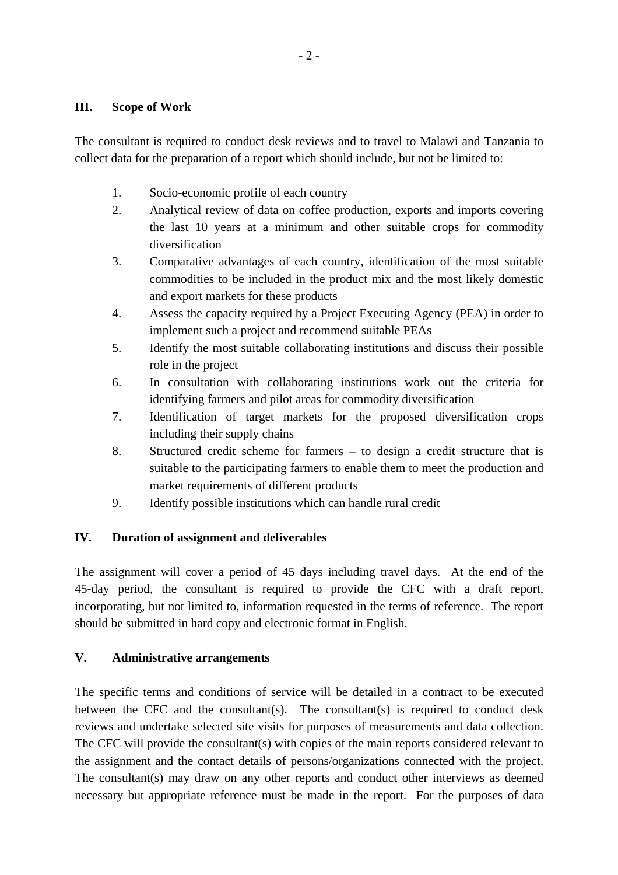### **III. Scope of Work**

The consultant is required to conduct desk reviews and to travel to Malawi and Tanzania to collect data for the preparation of a report which should include, but not be limited to:

- 1. Socio-economic profile of each country
- 2. Analytical review of data on coffee production, exports and imports covering the last 10 years at a minimum and other suitable crops for commodity diversification
- 3. Comparative advantages of each country, identification of the most suitable commodities to be included in the product mix and the most likely domestic and export markets for these products
- 4. Assess the capacity required by a Project Executing Agency (PEA) in order to implement such a project and recommend suitable PEAs
- 5. Identify the most suitable collaborating institutions and discuss their possible role in the project
- 6. In consultation with collaborating institutions work out the criteria for identifying farmers and pilot areas for commodity diversification
- 7. Identification of target markets for the proposed diversification crops including their supply chains
- 8. Structured credit scheme for farmers to design a credit structure that is suitable to the participating farmers to enable them to meet the production and market requirements of different products
- 9. Identify possible institutions which can handle rural credit

## **IV. Duration of assignment and deliverables**

The assignment will cover a period of 45 days including travel days. At the end of the 45-day period, the consultant is required to provide the CFC with a draft report, incorporating, but not limited to, information requested in the terms of reference. The report should be submitted in hard copy and electronic format in English.

## **V. Administrative arrangements**

The specific terms and conditions of service will be detailed in a contract to be executed between the CFC and the consultant(s). The consultant(s) is required to conduct desk reviews and undertake selected site visits for purposes of measurements and data collection. The CFC will provide the consultant(s) with copies of the main reports considered relevant to the assignment and the contact details of persons/organizations connected with the project. The consultant(s) may draw on any other reports and conduct other interviews as deemed necessary but appropriate reference must be made in the report. For the purposes of data